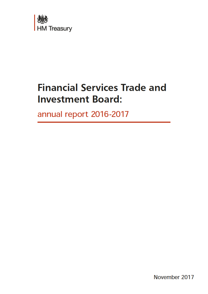

## Financial Services Trade and Investment Board:

annual report 2016-2017

November 2017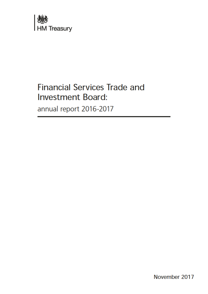

### Financial Services Trade and Investment Board:

annual report 2016-2017

November 2017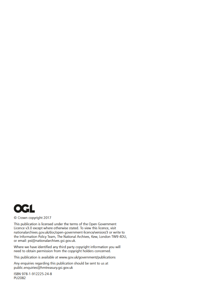

#### © Crown copyright 2017

This publication is licensed under the terms of the Open Government Licence v3.0 except where otherwise stated. To view this licence, visit nationalarchives.gov.uk/doc/open-government-licence/version/3 or write to the Information Policy Team, The National Archives, Kew, London TW9 4DU, or email: psi@nationalarchives.gsi.gov.uk.

Where we have identified any third party copyright information you will need to obtain permission from the copyright holders concerned.

This publication is available at www.gov.uk/government/publications

Any enquiries regarding this publication should be sent to us at public.enquiries@hmtreasury.gsi.gov.uk

ISBN 978-1-912225-24-8 PU2082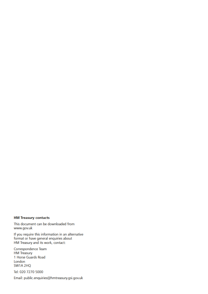#### HM Treasury contacts

This document can be downloaded from www.gov.uk

If you require this information in an alternative format or have general enquiries about HM Treasury and its work, contact:

Correspondence Team HM Treasury 1 Horse Guards Road London SW1A 2HQ

Tel: 020 7270 5000

Email: public.enquiries@hmtreasury.gsi.gov.uk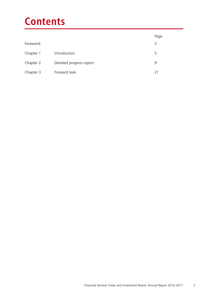# **Contents**

|           |                          | Page |
|-----------|--------------------------|------|
| Foreword  |                          | 3    |
| Chapter 1 | Introduction             | 5    |
| Chapter 2 | Detailed progress report | 9    |
| Chapter 3 | Forward look             | 21   |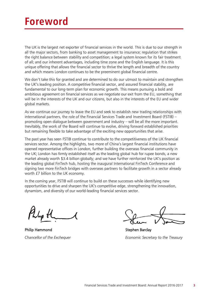## **Foreword**

The UK is the largest net exporter of financial services in the world. This is due to our strength in all the major sectors, from banking to asset management to insurance; regulation that strikes the right balance between stability and competition; a legal system known for its fair treatment of all; and our inherent advantages, including time zone and the English language. It is this unique offering that allows the financial sector to thrive the length and breadth of the country and which means London continues to be the preeminent global financial centre.

We don't take this for granted and are determined to do our utmost to maintain and strengthen the UK's leading position. A competitive financial sector, and assured financial stability, are fundamental to our long-term plan for economic growth. This means pursuing a bold and ambitious agreement on financial services as we negotiate our exit from the EU, something that will be in the interests of the UK and our citizens, but also in the interests of the EU and wider global markets.

As we continue our journey to leave the EU and seek to establish new trading relationships with international partners, the role of the Financial Services Trade and Investment Board (FSTIB) – promoting open dialogue between government and industry – will be all the more important. Inevitably, the work of the Board will continue to evolve, driving forward established priorities but remaining flexible to take advantage of the exciting new opportunities that arise.

The past year has seen FSTIB continue to contribute to the competitiveness of the UK financial services sector. Among the highlights, two more of China's largest financial institutions have opened representative offices in London, further building the overseas financial community in the UK; London has firmly established itself as the leading global hub for rupee bonds, a new market already worth \$3.4 billion globally; and we have further reinforced the UK's position as the leading global FinTech hub, hosting the inaugural International FinTech Conference and signing two more FinTech bridges with overseas partners to facilitate growth in a sector already worth £7 billion to the UK economy.

In the coming year, FSTIB will continue to build on these successes while identifying new opportunities to drive and sharpen the UK's competitive edge, strengthening the innovation, dynamism, and diversity of our world-leading financial services sector.

Philip Hammond **Stephen Barclay** 

*Chancellor of the Exchequer Economic Secretary to the Treasury*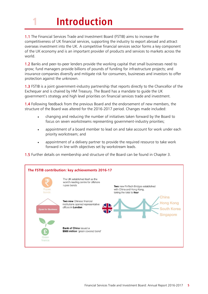# 1 **Introduction**

1.1 The Financial Services Trade and Investment Board (FSTIB) aims to increase the competitiveness of UK financial services, supporting the industry to export abroad and attract overseas investment into the UK. A competitive financial services sector forms a key component of the UK economy and is an important provider of products and services to markets across the world.

1.2 Banks and peer-to-peer lenders provide the working capital that small businesses need to grow; fund managers provide billions of pounds of funding for infrastructure projects; and insurance companies diversify and mitigate risk for consumers, businesses and investors to offer protection against the unknown.

1.3 FSTIB is a joint government-industry partnership that reports directly to the Chancellor of the Exchequer and is chaired by HM Treasury. The Board has a mandate to guide the UK government's strategy and high level priorities on financial services trade and investment.

1.4 Following feedback from the previous Board and the endorsement of new members, the structure of the Board was altered for the 2016-2017 period. Changes made included:

- changing and reducing the number of initiatives taken forward by the Board to focus on seven workstreams representing government-industry priorities;
- appointment of a board member to lead on and take account for work under each priority workstream; and
- appointment of a delivery partner to provide the required resource to take work forward in line with objectives set by workstream leads.

1.5 Further details on membership and structure of the Board can be found in Chapter 3.

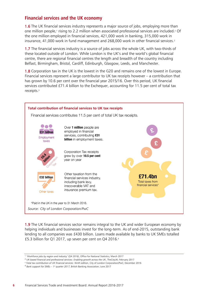#### **Financial services and the UK economy**

1.6 The UK financial services industry represents a major source of jobs, employing more than one million people,1 rising to 2.2 million when associated professional services are included.2 Of the one million employed in financial services, 421,000 work in banking, 315,000 work in insurance, 41,000 work in fund management and 268,000 work in other financial services. 2

1.7 The financial services industry is a source of jobs across the whole UK, with two-thirds of these located outside of London. While London is the UK's and the world's global financial centre, there are regional financial centres the length and breadth of the country including Belfast, Birmingham, Bristol, Cardiff, Edinburgh, Glasgow, Leeds, and Manchester.

1.8 Corporation tax in the UK is the lowest in the G20 and remains one of the lowest in Europe. Financial services represent a large contributor to UK tax receipts however – a contribution that has grown by 10.6 per cent over the financial year 2015/16. Over this period, UK financial services contributed £71.4 billion to the Exchequer, accounting for 11.5 per cent of total tax receipts. 3



**1.9** The UK financial services sector remains integral to the UK and wider European economy by helping individuals and businesses invest for the long-term. As of end-2015, outstanding bank lending to all companies was £430 billion. Loans made available by banks to UK SMEs totalled £5.3 billion for Q1 2017, up seven per cent on Q4 2016. 4

<sup>1</sup> *'Workforce jobs by region and industry' (Q4 2016)*, Office for National Statistics; March 2017

<sup>2</sup> *UK-based financial and professional services: Enabling growth across the UK*, TheCityUK; February 2017

<sup>&</sup>lt;sup>3</sup> Total tax contribution of UK financial services: Ninth edition, City of London Corporation/PwC; December 2016

<sup>4</sup> *Bank support for SMEs – 1 st quarter 2017*, British Banking Association; June 2017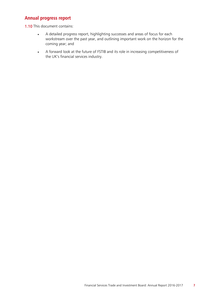#### **Annual progress report**

1.10 This document contains:

- A detailed progress report, highlighting successes and areas of focus for each workstream over the past year, and outlining important work on the horizon for the coming year; and
- A forward look at the future of FSTIB and its role in increasing competitiveness of the UK's financial services industry.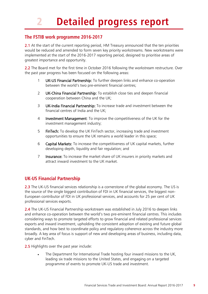# 2 **Detailed progress report**

#### **The FSTIB work programme 2016-2017**

2.1 At the start of the current reporting period, HM Treasury announced that the ten priorities would be reduced and amended to form seven key priority workstreams. New workstreams were implemented at the start of the 2016-2017 reporting period, designed to prioritise areas of greatest importance and opportunity.

2.2 The Board met for the first time in October 2016 following the workstream restructure. Over the past year progress has been focused on the following areas:

- 1 UK-US Financial Partnership: To further deepen links and enhance co-operation between the world's two pre-eminent financial centres;
- 2 UK-China Financial Partnership: To establish close ties and deepen financial cooperation between China and the UK;
- 3 UK-India Financial Partnership: To increase trade and investment between the financial centres of India and the UK;
- 4 Investment Management: To improve the competitiveness of the UK for the investment management industry;
- 5 FinTech: To develop the UK FinTech sector, increasing trade and investment opportunities to ensure the UK remains a world leader in this space;
- 6 Capital Markets: To increase the competitiveness of UK capital markets, further developing depth, liquidity and fair regulation; and
- 7 Insurance: To increase the market share of UK insurers in priority markets and attract inward investment to the UK market.

#### **UK-US Financial Partnership**

2.3 The UK-US financial services relationship is a cornerstone of the global economy. The US is the source of the single biggest contribution of FDI in UK financial services, the biggest non-European contributor of FDI in UK professional services, and accounts for 25 per cent of UK professional services exports.

2.4 The UK-US Financial Partnership workstream was established in July 2016 to deepen links and enhance co-operation between the world's two pre-eminent financial centres. This includes considering ways to promote targeted efforts to grow financial and related professional services exports and inward investment, upholding the consistent adoption of existing and future global standards, and how best to coordinate policy and regulatory coherence across the industry more broadly. A key area of focus is support of new and developing areas of business, including data, cyber and FinTech.

2.5 Highlights over the past year include:

The Department for International Trade hosting four inward missions to the UK, leading six trade missions to the United States, and engaging on a targeted programme of events to promote UK-US trade and investment.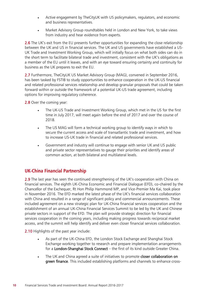- Active engagement by TheCityUK with US policymakers, regulators, and economic and business representatives.
- Market Advisory Group roundtables held in London and New York, to take views from industry and hear evidence from experts.

2.6 The UK's exit from the EU presents further opportunities for expanding the close relationship between the UK and US in financial services. The UK and US governments have established a US-UK Trade and Investment Working Group, which will initially focus on what both sides can do in the short term to facilitate bilateral trade and investment, consistent with the UK's obligations as a member of the EU until it leaves, and with an eye toward ensuring certainty and continuity for business as the UK prepares to exit the EU.

2.7 Furthermore, TheCityUK US Market Advisory Group (MAG), convened in September 2016, has been tasked by FSTIB to study opportunities to enhance cooperation in the UK-US financial and related professional services relationship and develop granular proposals that could be taken forward within or outside the framework of a potential UK-US trade agreement, including options for improving regulatory coherence.

2.8 Over the coming year:

- The UK-US Trade and Investment Working Group, which met in the US for the first time in July 2017, will meet again before the end of 2017 and over the course of 2018.
- The US MAG will form a technical working group to identify ways in which to secure the current access and scale of transatlantic trade and investment, and how to increase US-UK trade in financial and related professional services.
- Government and industry will continue to engage with senior UK and US public and private sector representatives to gauge their priorities and identify areas of common action, at both bilateral and multilateral levels.

#### **UK-China Financial Partnership**

2.9 The last year has seen the continued strengthening of the UK's cooperation with China on financial services. The eighth UK-China Economic and Financial Dialogue (EFD), co-chaired by the Chancellor of the Exchequer, Rt Hon Philip Hammond MP, and Vice-Premier Ma Kai, took place in November 2016. The EFD marked the latest phase of the UK's financial services collaboration with China and resulted in a range of significant policy and commercial announcements. These included agreement on a new strategic plan for UK-China financial services cooperation and the establishment of an annual UK-China Financial Services Summit to be led by the UK and Chinese private sectors in support of the EFD. The plan will provide strategic direction for financial services cooperation in the coming years, including making progress towards reciprocal market access, and the summit will help identify and deliver even closer financial services collaboration.

2.10 Highlights of the past year include:

- As part of the UK-China EFD, the London Stock Exchange and Shanghai Stock Exchange working together to research and prepare implementation arrangements for a London-Shanghai Stock Connect – the first of its kind outside Greater China.
- The UK and China agreed a suite of initiatives to promote closer collaboration on green finance. This included establishing platforms and channels to enhance cross-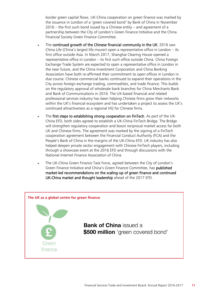border green capital flows. UK-China cooperation on green finance was marked by the issuance in London of a 'green covered bond' by Bank of China in November 2016 – the first such bond issued by a Chinese entity – and agreement of a partnership between the City of London's Green Finance Initiative and the China Financial Society Green Finance Committee.

- The continued growth of the Chinese financial community in the UK. 2016 saw China Life (China's largest life insurer) open a representative office in London – its first office outside Asia. In March 2017, Shanghai Clearing House opened a representative office in London – its first such office outside China. China Foreign Exchange Trade System are expected to open a representative office in London in the near future, and the China Investment Corporation and China Banking Association have both re-affirmed their commitment to open offices in London in due course. Chinese commercial banks continued to expand their operations in the City across foreign exchange trading, commodities, and trade finance. This builds on the regulatory approval of wholesale bank branches for China Merchants Bank and Bank of Communications in 2016. The UK-based financial and related professional services industry has been helping Chinese firms grow their networks within the UK's financial ecosystem and has undertaken a project to assess the UK's continued attractiveness as a regional HQ for Chinese firms.
- The first steps to establishing strong cooperation on FinTech. As part of the UK-China EFD, both sides agreed to establish a UK-China FinTech Bridge. The Bridge will strengthen regulatory cooperation and boost reciprocal market access for both UK and Chinese firms. The agreement was marked by the signing of a FinTech cooperation agreement between the Financial Conduct Authority (FCA) and the People's Bank of China in the margins of the UK-China EFD. UK industry has also helped deepen private sector engagement with Chinese FinTech players, including through a showcase event at the 2016 EFD and through discussions with the National Internet Finance Association of China.
- The UK-China Green Finance Task Force, agreed between the City of London's Green Finance Initiative and China's Green Finance Committee, has published market-led recommendations on the scaling-up of green finance and continued UK-China market and thought leadership ahead of the 2017 EFD.

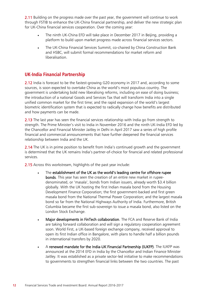2.11 Building on the progress made over the past year, the government will continue to work through FSTIB to enhance the UK-China financial partnership, and deliver the new strategic plan for UK-China financial services cooperation. Over the coming year:

- The ninth UK-China EFD will take place in December 2017 in Beijing, providing a platform to build upon market progress made across financial services sectors.
- The UK-China Financial Services Summit, co-chaired by China Construction Bank and HSBC, will submit formal recommendations for market reform and liberalisation.

#### **UK-India Financial Partnership**

2.12 India is forecast to be the fastest-growing G20 economy in 2017 and, according to some sources, is soon expected to overtake China as the world's most populous country. The government is undertaking bold new liberalising reforms, including on ease of doing business; the introduction of a national Goods and Services Tax that will transform India into a single unified common market for the first time; and the rapid expansion of the world's largest biometric identification system that is expected to radically change how benefits are distributed and how payments can be made.

2.13 The last year has seen the financial services relationship with India go from strength to strength. The Prime Minister's visit to India in November 2016 and the ninth UK-India EFD led by the Chancellor and Financial Minister Jaitley in Delhi in April 2017 saw a series of high profile financial and commercial announcements that have further deepened the financial services relationship between India and the UK.

2.14 The UK is in prime position to benefit from India's continued growth and the government is determined that the UK remains India's partner-of-choice for financial and related professional services.

2.15 Across this workstream, highlights of the past year include:

- The establishment of the UK as the world's leading centre for offshore rupee bonds. This year has seen the creation of an entire new market in rupeedenominated, or 'masala', bonds from Indian issuers, already worth \$3.4 billion globally. With the UK hosting the first Indian masala bond from the Housing Development Finance Corporation; the first government-backed and first green masala bond from the National Thermal Power Corporation; and the largest masala bond so far from the National Highways Authority of India. Furthermore, British Columbia became the first sub-sovereign to issue a masala bond, also listed on the London Stock Exchange.
- Major developments in FinTech collaboration. The FCA and Reserve Bank of India are taking forward collaboration and will sign a regulatory cooperation agreement soon. World First, a UK-based foreign exchange company, received approval to open its first Indian office in Bangalore, with plans to handle half a billion pounds in international transfers by 2020.
- A renewed mandate for the India-UK Financial Partnership (IUKFP). The IUKFP was announced at the 2014 EFD in India by the Chancellor and Indian Finance Minister Jaitley. It was established as a private sector-led initiative to make recommendations to governments to strengthen financial links between the two countries. The past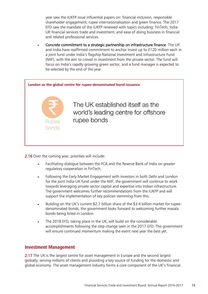year saw the IUKFP issue influential papers on: financial inclusion, responsible shareholder engagement, rupee internationalisation and green finance. The 2017 EFD saw the mandate of the IUKFP renewed with topics including: FinTech; India-UK financial services trade and investment; and ease of doing business in financial and related professional services.

• Concrete commitment to a strategic partnership on infrastructure finance. The UK and India have reaffirmed commitment to anchor invest up to £120 million each in a joint fund under India's flagship National Investment and Infrastructure Fund (NIIF), with the aim to crowd in investment from the private sector. The fund will focus on India's rapidly growing green sector, and a fund manager is expected to be selected by the end of the year.



2.16 Over the coming year, priorities will include:

- Facilitating dialogue between the FCA and the Reserve Bank of India on greater regulatory cooperation in FinTech.
- Following the Early Market Engagement with investors in both Delhi and London for the joint India-UK fund under the NIIF, the government will continue to work towards leveraging private sector capital and expertise into Indian infrastructure. The government welcomes further recommendations from the IUKFP and will support the implementation of key policies stemming from this.
- Building on the UK's current \$2.7 billion share of the \$3.4 billion market for rupeedenominated bonds, the government looks forward to welcoming further masala bonds being listed in London.
- The 2018 EFD, taking place in the UK, will build on the considerable accomplishments following the step change seen in the 2017 EFD. The government will ensure continued momentum making the event next year the best yet.

#### **Investment Management**

2.17 The UK is the largest centre for asset management in Europe and the second largest globally, serving millions of clients and providing a key source of funding for the domestic and global economy. The asset management industry forms a core component of the UK's financial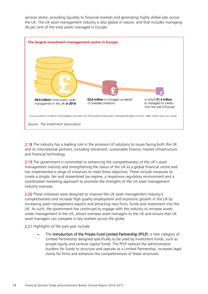services sector, providing liquidity to financial markets and generating highly skilled jobs across the UK. The UK asset management industry is also global in nature, and that includes managing 36 per cent of the total assets managed in Europe.



2.18 The industry has a leading role in the provision of solutions to issues facing both the UK and its international partners, including retirement, sustainable finance, market infrastructure and financial technology.

2.19 The government is committed to enhancing the competitiveness of the UK's asset management industry and strengthening the status of the UK as a global financial centre and has implemented a range of initiatives to meet these objectives. These include measures to create a simple, fair and streamlined tax regime, a responsive regulatory environment and a coordinated marketing approach to promote the strengths of the UK asset management industry overseas.

2.20 These initiatives were designed to improve the UK asset management industry's competitiveness and increase high quality employment and economic growth in the UK by increasing asset management exports and attracting new firms, funds and investment into the UK. As such, the government has continued to engage with the industry to increase assets under management in the UK, attract overseas asset managers to the UK and ensure that UK asset managers can compete in key markets across the globe.

2.21 Highlights of the past year include:

The introduction of the Private Fund Limited Partnership (PFLP), a new category of Limited Partnership designed specifically to be used by investment funds, such as private equity and venture capital funds. The PFLP reduces the administrative burdens for funds to structure and operate as a Limited Partnership, increases legal clarity for firms and enhances the competitiveness of these structures.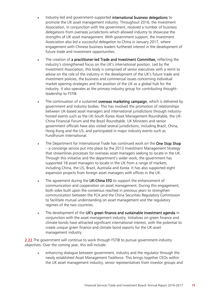- Industry-led and government-supported international business delegations to promote the UK asset management industry. Throughout 2016, the Investment Association, in conjunction with the government, received a number of business delegations from overseas jurisdictions which allowed industry to showcase the strengths of UK asset management. With government support, the Investment Association also led a successful delegation to China in January 2017, where engagement with Chinese business leaders furthered interest in the development of future trade and investment opportunities.
- The creation of a practitioner-led Trade and Investment Committee, reflecting the industry's strengthened focus on the UK's international position. Led by the Investment Association, this body is comprised of senior executives with a remit to advise on the role of the industry in the development of the UK's future trade and investment policies, the business and commercial issues concerning individual market opening strategies and the position of the UK as a global hub for the industry. It also operates as the primary industry group for contributing thoughtleadership to FSTIB.
- The continuation of a sustained overseas marketing campaign, which is delivered by government and industry bodies. This has involved the promotion of relationships between UK-based asset managers and international jurisdictions through industryhosted events such as the UK-South Korea Asset Management Roundtable, the UK-China Financial Forum and the Brazil Roundtable. UK Ministers and senior government officials have also visited several jurisdictions, including Brazil, China, Hong Kong and the US, and participated in major industry events such as FundForum International.
- The Department for International Trade has continued work on the One Stop Shop – a concierge service put into place by the 2013 Investment Management Strategy that streamlines processes for overseas asset managers seeking to locate in the UK. Through this initiative and the department's wider work, the government has supported 18 asset managers to locate in the UK from a range of markets, including China, the US, Brazil, Australia and Korea. It has also supported eight expansion projects from foreign asset managers with offices in the UK.
- The agreement during the UK-China EFD to support the enhancement of communication and cooperation on asset management. During this engagement, both sides built upon the consensus reached in previous years to strengthen communication between the FCA and the China Securities Regulatory Commission to facilitate mutual understanding on asset management and the regulatory regimes of the two countries.
- The development of the UK's green finance and sustainable investment agenda in conjunction with the asset management industry. Initiatives on green finance and climate bonds have attracted significant international interest, with the potential to create unique green finance and climate bond exports for the UK asset management industry.

2.22 The government will continue to work through FSTIB to pursue government-industry objectives. Over the coming year, this will include:

• enhancing dialogue between government, industry and the regulator through the newly established Asset Management Taskforce. This brings together CEOs within the UK asset management industry, senior representatives from investor groups and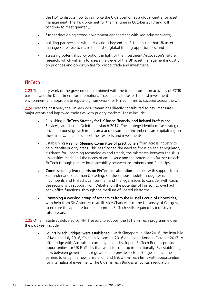the FCA to discuss how to reinforce the UK's position as a global centre for asset management. The Taskforce met for the first time in October 2017 and will continue to meet quarterly;

- further developing strong government engagement with key industry events;
- building partnerships with jurisdictions beyond the EU to ensure that UK asset managers are able to make the best of global trading opportunities; and
- assessing potential policy options in light of the Investment Association's future research, which will aim to assess the views of the UK asset management industry on priorities and opportunities for global trade and investment.

#### **FinTech**

2.23 The policy work of the government, combined with the trade promotion activities of FSTIB partners and the Department for International Trade, aims to foster the best investment environment and appropriate regulatory framework for FinTech firms to succeed across the UK.

2.24 Over the past year, the FinTech workstream has directly contributed to new measures, major events and improved trade ties with priority markets. These include:

- Publishing a FinTech Strategy for UK Based Financial and Related Professional Services, launched at Deloitte in March 2017. The strategy identified five strategic drivers to boost growth in this area and ensure that incumbents are capitalising on these innovations to support their exports and investments.
- Establishing a senior Steering Committee of practitioners from across industry to help identify priority areas. This has flagged the need to focus on earlier regulatory guidance for upcoming technologies and trends; the mismatch between the skills universities teach and the needs of employers; and the potential to further unlock FinTech through greater interoperability between incumbents and Start-Ups.
- Commissioning two reports on FinTech collaboration: the first with support from Santander and Shearman & Sterling, on the various models through which incumbents and FinTechs can partner, and the legal issues to consider with each; the second with support from Deloitte, on the potential of FinTech to overhaul back-office functions, through the medium of Shared Platforms.
- Convening a working group of academics from the Russell Group of universities, with help from Sir Anton Muscatelli, Vice Chancellor of the University of Glasgow, to explore the appetite for a blueprint on FinTech skills required by industry in future years.

2.25 Other initiatives delivered by HM Treasury to support the FSTIB FinTech programme over the past year include:

Four 'FinTech Bridges' were established – with Singapore in May 2016, the Republic of Korea in July 2016, China in November 2016 and Hong Kong in October 2017. A fifth bridge with Australia is currently being developed. FinTech Bridges provide opportunities for UK FinTechs that want to scale-up internationally. By establishing links between government, regulators and private sectors, Bridges reduce the barriers to entry in a new jurisdiction and link UK FinTech firms with opportunities for international investment. The UK's FinTech Bridges all contain regulatory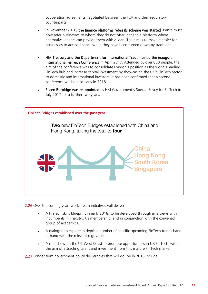cooperation agreements negotiated between the FCA and their regulatory counterparts.

- In November 2016, the finance platforms referrals scheme was started. Banks must now refer businesses to whom they do not offer loans to a platform where alternative lenders can provide them with a loan. The aim is to make it easier for businesses to access finance when they have been turned down by traditional lenders.
- HM Treasury and the Department for International Trade hosted the inaugural International FinTech Conference in April 2017. Attended by over 800 people, the aim of the conference was to consolidate London's position as the world's leading FinTech hub and increase capital investment by showcasing the UK's FinTech sector to domestic and international investors. It has been confirmed that a second conference will be held early in 2018.
- Eileen Burbidge was reappointed as HM Government's Special Envoy for FinTech in July 2017 for a further two years.



2.26 Over the coming year, workstream initiatives will deliver:

- A FinTech skills blueprint in early 2018, to be developed through interviews with incumbents in TheCityUK's membership, and in conjunction with the convened group of academics.
- A dialogue to explore in depth a number of specific upcoming FinTech trends handin-hand with the relevant regulators.
- A roadshow on the US West Coast to promote opportunities in UK FinTech, with the aim of attracting talent and investment from this mature FinTech market.

2.27 Longer term government policy deliverables that will go live in 2018 include: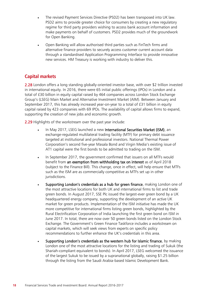- The revised Payment Services Directive (PSD2) has been transposed into UK law. PSD2 aims to provide greater choice for consumers by creating a new regulatory regime for third party providers wishing to access bank account information and make payments on behalf of customers. PSD2 provides much of the groundwork for Open Banking.
- Open Banking will allow authorised third parties such as FinTech firms and alternative finance providers to securely access customer current account data through a standardised Application Programming Interface to provide innovative new services. HM Treasury is working with industry to deliver this.

#### **Capital markets**

2.28 London offers a long standing globally-oriented investor base, with over \$2 trillion invested in international equity. In 2016, there were 65 initial public offerings (IPOs) in London and a total of £30 billion in equity capital raised by 464 companies across London Stock Exchange Group's (LSEG) Main Market and Alternative Investment Market (AIM). Between January and September 2017, this has already increased year-on-year to a total of £31 billion in equity capital raised by 423 companies with 69 IPOs. The availability of capital allows firms to expand, supporting the creation of new jobs and economic growth.

2.29 Highlights of the workstream over the past year include:

- In May 2017, LSEG launched a new International Securities Market (ISM), an exchange-regulated multilateral trading facility (MTF) for primary debt issuance targeted at institutional and professional investors. National Thermal Power Corporation's second five-year Masala Bond and Virgin Media's existing issue of AT1 capital were the first bonds to be admitted to trading on the ISM.
- In September 2017, the government confirmed that issuers on all MTFs would benefit from an exemption from withholding tax on interest as of April 2018 (subject to the Finance Bill). This change, once in effect, will help ensure that MTFs such as the ISM are as commercially competitive as MTFs set up in other jurisdictions.
- Supporting London's credentials as a hub for green finance, making London one of the most attractive locations for both UK and international firms to list and trade green bonds. In August 2017, SSE Plc issued the largest-ever green bond by a UK headquartered energy company, supporting the development of an active UK market for green products. Implementation of the ISM initiative has made the UK more competitive for international firms listing green bonds, highlighted by the Rural Electrification Corporation of India launching the first green bond on ISM in June 2017. In total, there are now over 50 green bonds listed on the London Stock Exchange. The Government's Green Finance Taskforce includes a workstream on capital markets, which will seek views from experts on specific policy recommendations to further enhance the UK's credentials in this area.
- Supporting London's credentials as the western hub for Islamic finance, by making London one of the most attractive locations for the listing and trading of Sukuk (the Shariah-compliant equivalent to bonds). In April 2017, LSEG welcomed the issuance of the largest Sukuk to be issued by a supranational globally, raising \$1.25 billion through the listing from the Saudi Arabia-based Islamic Development Bank.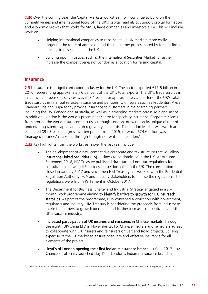2.30 Over the coming year, the Capital Markets workstream will continue to build on the competitiveness and international focus of the UK's capital markets to support capital formation and economic growth that works for SMEs, large companies and investors alike. This will include work on:

- Helping international companies to raise capital in UK markets more easily, targeting the route of admission and the regulatory process faced by foreign firms looking to raise capital in the UK.
- Building upon initiatives such as the International Securities Market to further increase the competitiveness of London as a location for raising capital.

#### **Insurance**

2.31 Insurance is a significant export industry for the UK. The sector exported £17.6 billion in 2016, representing approximately 6 per cent of the UK's total exports. The UK's trade surplus in insurance and pensions services was £17.4 billion, or approximately a quarter of the UK's total trade surplus in financial services, insurance and pensions. UK insurers such as Prudential, Aviva, Standard Life and Bupa today provide insurance to customers in major trading partners including the US, Canada and Australia, as well as in emerging markets across Asia and Africa. In addition, London is the world's preeminent centre for specialty insurance. Corporate clients from around the world insure complex risks through London, drawing on its unique cluster of underwriting talent, capital and high regulatory standards. The London Market was worth an estimated \$91.3 billion in gross written premiums in 2015, of which \$24.6 billion was 'managed business' marketed through though not written in London.<sup>5</sup>

2.32 Key highlights from the workstream over the last year include:

- The development of a new competitive corporate and tax structure that will allow Insurance Linked Securities (ILS) business to be domiciled in the UK. At Autumn Statement 2016, HM Treasury published draft tax and non-tax regulations for consultation allowing ILS business to be domiciled in the UK. The consultation closed in January 2017 and since then HM Treasury has worked with the Prudential Regulation Authority, FCA and industry stakeholders to finalise the regulations. The regulations were laid in Parliament in October 2017.
- The Department for Business, Energy and Industrial Strategy engaged in a sixmonth work programme aiming to identify barriers to growth for UK InsurTech start-ups. As part of the programme, BEIS convened a workshop with government, regulators and industry. HM Treasury is considering the proposals from industry to tackle the barriers to growth identified and further increase competitiveness of the UK insurance industry.
- Increased participation of UK insurers and reinsurers in Chinese markets. Through the eighth UK-China EFD in November 2016, Chinese insurers and reinsurers agreed to collaborate with UK insurers and reinsurers on Belt and Road projects, utilising expertise of the UK market to ensure adequate and effective insurance for all elements of the project.
- Lloyd's of London opening their first Indian reinsurance branch. In April 2017, the Chancellor officially launched Lloyd's of London's Indian reinsurance branch in

<sup>5</sup> *London Matters 2017: The competitive position of the London Insurance Market*, London Market Group/Boston Consulting Group; May 2017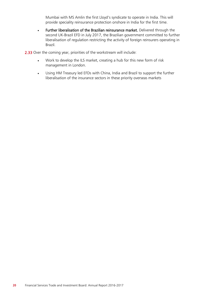Mumbai with MS Amlin the first Lloyd's syndicate to operate in India. This will provide speciality reinsurance protection onshore in India for the first time.

• Further liberalisation of the Brazilian reinsurance market. Delivered through the second UK-Brazil EFD in July 2017, the Brazilian government committed to further liberalisation of regulation restricting the activity of foreign reinsurers operating in Brazil.

2.33 Over the coming year, priorities of the workstream will include:

- Work to develop the ILS market, creating a hub for this new form of risk management in London.
- Using HM Treasury led EFDs with China, India and Brazil to support the further liberalisation of the insurance sectors in these priority overseas markets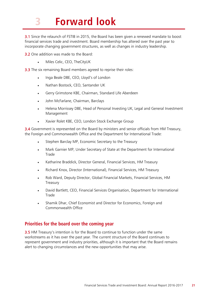# 3 **Forward look**

**3.1** Since the relaunch of FSTIB in 2015, the Board has been given a renewed mandate to boost financial services trade and investment. Board membership has altered over the past year to incorporate changing government structures, as well as changes in industry leadership.

3.2 One addition was made to the Board:

• Miles Celic, CEO, TheCityUK

**3.3** The six remaining Board members agreed to reprise their roles:

- Inga Beale DBE, CEO, Lloyd's of London
- Nathan Bostock, CEO, Santander UK
- Gerry Grimstone KBE, Chairman, Standard Life Aberdeen
- John McFarlane, Chairman, Barclays
- Helena Morrissey DBE, Head of Personal Investing UK, Legal and General Investment Management
- Xavier Rolet KBE, CEO, London Stock Exchange Group

3.4 Government is represented on the Board by ministers and senior officials from HM Treasury, the Foreign and Commonwealth Office and the Department for International Trade:

- Stephen Barclay MP, Economic Secretary to the Treasury
- Mark Garnier MP, Under Secretary of State at the Department for International Trade
- Katharine Braddick, Director General, Financial Services, HM Treasury
- Richard Knox, Director (International), Financial Services, HM Treasury
- Rob Ward, Deputy Director, Global Financial Markets, Financial Services, HM Treasury
- David Bartlett, CEO, Financial Services Organisation, Department for International Trade
- Shamik Dhar, Chief Economist and Director for Economics, Foreign and Commonwealth Office

#### **Priorities for the board over the coming year**

3.5 HM Treasury's intention is for the Board to continue to function under the same workstreams as it has over the past year. The current structure of the Board continues to represent government and industry priorities, although it is important that the Board remains alert to changing circumstances and the new opportunities that may arise.